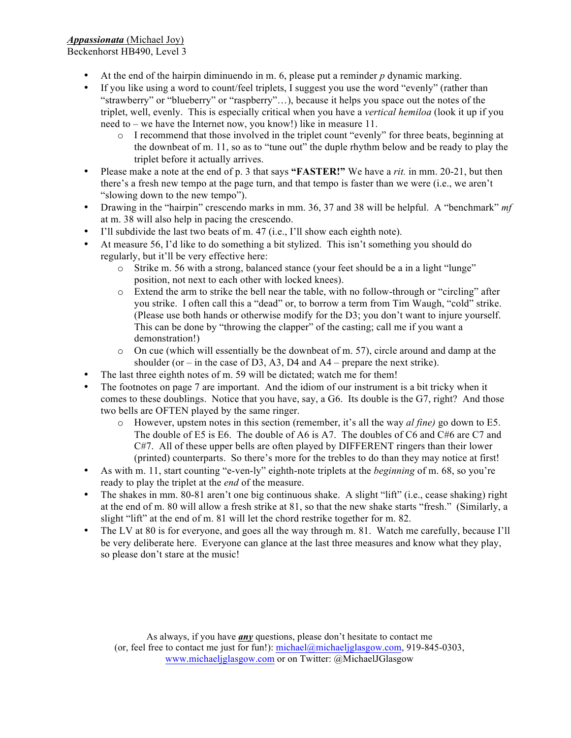# *Appassionata* (Michael Joy)

Beckenhorst HB490, Level 3

- At the end of the hairpin diminuendo in m. 6, please put a reminder *p* dynamic marking.
- If you like using a word to count/feel triplets, I suggest you use the word "evenly" (rather than "strawberry" or "blueberry" or "raspberry"…), because it helps you space out the notes of the triplet, well, evenly. This is especially critical when you have a *vertical hemiloa* (look it up if you need to – we have the Internet now, you know!) like in measure 11.
	- $\circ$  I recommend that those involved in the triplet count "evenly" for three beats, beginning at the downbeat of m. 11, so as to "tune out" the duple rhythm below and be ready to play the triplet before it actually arrives.
- Please make a note at the end of p. 3 that says **"FASTER!"** We have a *rit.* in mm. 20-21, but then there's a fresh new tempo at the page turn, and that tempo is faster than we were (i.e., we aren't "slowing down to the new tempo").
- Drawing in the "hairpin" crescendo marks in mm. 36, 37 and 38 will be helpful. A "benchmark" *mf*  at m. 38 will also help in pacing the crescendo.
- I'll subdivide the last two beats of m. 47 (i.e., I'll show each eighth note).
- At measure 56, I'd like to do something a bit stylized. This isn't something you should do regularly, but it'll be very effective here:
	- o Strike m. 56 with a strong, balanced stance (your feet should be a in a light "lunge" position, not next to each other with locked knees).
	- o Extend the arm to strike the bell near the table, with no follow-through or "circling" after you strike. I often call this a "dead" or, to borrow a term from Tim Waugh, "cold" strike. (Please use both hands or otherwise modify for the D3; you don't want to injure yourself. This can be done by "throwing the clapper" of the casting; call me if you want a demonstration!)
	- $\circ$  On cue (which will essentially be the downbeat of m. 57), circle around and damp at the shoulder (or – in the case of D3, A3, D4 and  $A4$  – prepare the next strike).
- The last three eighth notes of m. 59 will be dictated; watch me for them!
- The footnotes on page 7 are important. And the idiom of our instrument is a bit tricky when it comes to these doublings. Notice that you have, say, a G6. Its double is the G7, right? And those two bells are OFTEN played by the same ringer.
	- o However, upstem notes in this section (remember, it's all the way *al fine)* go down to E5. The double of E5 is E6. The double of A6 is A7. The doubles of C6 and C#6 are C7 and C#7. All of these upper bells are often played by DIFFERENT ringers than their lower (printed) counterparts. So there's more for the trebles to do than they may notice at first!
- As with m. 11, start counting "e-ven-ly" eighth-note triplets at the *beginning* of m. 68, so you're ready to play the triplet at the *end* of the measure.
- The shakes in mm. 80-81 aren't one big continuous shake. A slight "lift" (i.e., cease shaking) right at the end of m. 80 will allow a fresh strike at 81, so that the new shake starts "fresh." (Similarly, a slight "lift" at the end of m. 81 will let the chord restrike together for m. 82.
- The LV at 80 is for everyone, and goes all the way through m. 81. Watch me carefully, because I'll be very deliberate here. Everyone can glance at the last three measures and know what they play, so please don't stare at the music!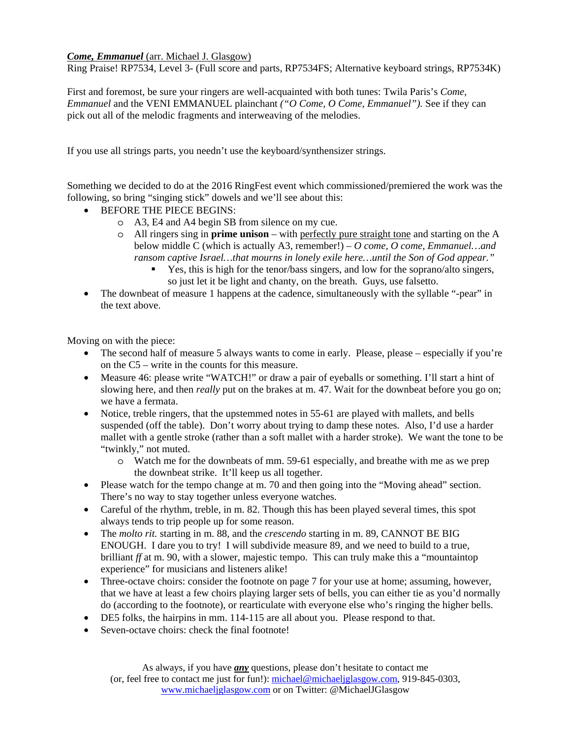## *Come, Emmanuel* (arr. Michael J. Glasgow)

Ring Praise! RP7534, Level 3- (Full score and parts, RP7534FS; Alternative keyboard strings, RP7534K)

First and foremost, be sure your ringers are well-acquainted with both tunes: Twila Paris's *Come, Emmanuel* and the VENI EMMANUEL plainchant *("O Come, O Come, Emmanuel").* See if they can pick out all of the melodic fragments and interweaving of the melodies.

If you use all strings parts, you needn't use the keyboard/synthensizer strings.

Something we decided to do at the 2016 RingFest event which commissioned/premiered the work was the following, so bring "singing stick" dowels and we'll see about this:

- BEFORE THE PIECE BEGINS:
	- o A3, E4 and A4 begin SB from silence on my cue.
	- o All ringers sing in **prime unison** with perfectly pure straight tone and starting on the A below middle C (which is actually A3, remember!) – *O come, O come, Emmanuel…and ransom captive Israel…that mourns in lonely exile here…until the Son of God appear."*
		- Yes, this is high for the tenor/bass singers, and low for the soprano/alto singers, so just let it be light and chanty, on the breath. Guys, use falsetto.
- The downbeat of measure 1 happens at the cadence, simultaneously with the syllable "-pear" in the text above.

Moving on with the piece:

- The second half of measure 5 always wants to come in early. Please, please especially if you're on the C5 – write in the counts for this measure.
- Measure 46: please write "WATCH!" or draw a pair of eyeballs or something. I'll start a hint of slowing here, and then *really* put on the brakes at m. 47. Wait for the downbeat before you go on; we have a fermata.
- Notice, treble ringers, that the upstemmed notes in 55-61 are played with mallets, and bells suspended (off the table). Don't worry about trying to damp these notes. Also, I'd use a harder mallet with a gentle stroke (rather than a soft mallet with a harder stroke). We want the tone to be "twinkly," not muted.
	- o Watch me for the downbeats of mm. 59-61 especially, and breathe with me as we prep the downbeat strike. It'll keep us all together.
- Please watch for the tempo change at m. 70 and then going into the "Moving ahead" section. There's no way to stay together unless everyone watches.
- Careful of the rhythm, treble, in m. 82. Though this has been played several times, this spot always tends to trip people up for some reason.
- The *molto rit.* starting in m. 88, and the *crescendo* starting in m. 89, CANNOT BE BIG ENOUGH. I dare you to try! I will subdivide measure 89, and we need to build to a true, brilliant *ff* at m. 90, with a slower, majestic tempo. This can truly make this a "mountaintop experience" for musicians and listeners alike!
- Three-octave choirs: consider the footnote on page 7 for your use at home; assuming, however, that we have at least a few choirs playing larger sets of bells, you can either tie as you'd normally do (according to the footnote), or rearticulate with everyone else who's ringing the higher bells.
- DE5 folks, the hairpins in mm. 114-115 are all about you. Please respond to that.
- Seven-octave choirs: check the final footnote!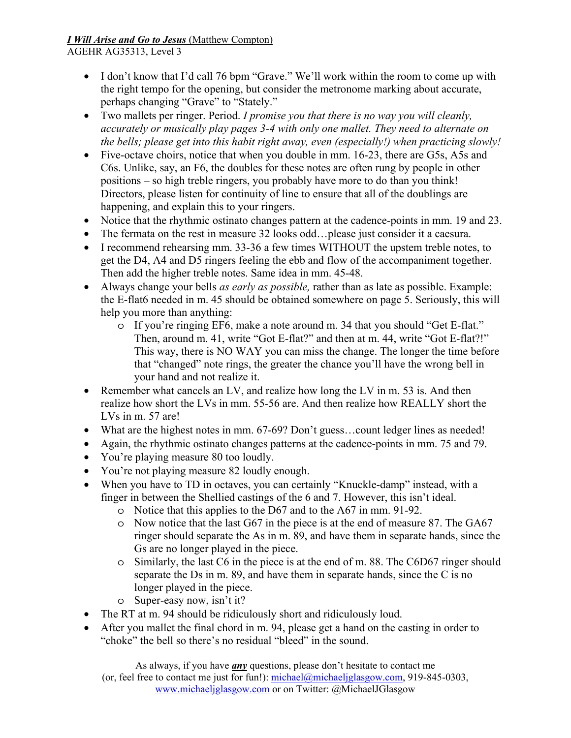## *I Will Arise and Go to Jesus* (Matthew Compton) AGEHR AG35313, Level 3

- I don't know that I'd call 76 bpm "Grave." We'll work within the room to come up with the right tempo for the opening, but consider the metronome marking about accurate, perhaps changing "Grave" to "Stately."
- Two mallets per ringer. Period. *I promise you that there is no way you will cleanly, accurately or musically play pages 3-4 with only one mallet. They need to alternate on the bells; please get into this habit right away, even (especially!) when practicing slowly!*
- Five-octave choirs, notice that when you double in mm. 16-23, there are G5s, A5s and C6s. Unlike, say, an F6, the doubles for these notes are often rung by people in other positions – so high treble ringers, you probably have more to do than you think! Directors, please listen for continuity of line to ensure that all of the doublings are happening, and explain this to your ringers.
- Notice that the rhythmic ostinato changes pattern at the cadence-points in mm. 19 and 23.
- The fermata on the rest in measure 32 looks odd…please just consider it a caesura.
- I recommend rehearsing mm. 33-36 a few times WITHOUT the upstem treble notes, to get the D4, A4 and D5 ringers feeling the ebb and flow of the accompaniment together. Then add the higher treble notes. Same idea in mm. 45-48.
- Always change your bells *as early as possible,* rather than as late as possible. Example: the E-flat6 needed in m. 45 should be obtained somewhere on page 5. Seriously, this will help you more than anything:
	- o If you're ringing EF6, make a note around m. 34 that you should "Get E-flat." Then, around m. 41, write "Got E-flat?" and then at m. 44, write "Got E-flat?!" This way, there is NO WAY you can miss the change. The longer the time before that "changed" note rings, the greater the chance you'll have the wrong bell in your hand and not realize it.
- Remember what cancels an LV, and realize how long the LV in m. 53 is. And then realize how short the LVs in mm. 55-56 are. And then realize how REALLY short the LVs in m. 57 are!
- What are the highest notes in mm. 67-69? Don't guess...count ledger lines as needed!
- Again, the rhythmic ostinato changes patterns at the cadence-points in mm. 75 and 79.
- You're playing measure 80 too loudly.
- You're not playing measure 82 loudly enough.
- When you have to TD in octaves, you can certainly "Knuckle-damp" instead, with a finger in between the Shellied castings of the 6 and 7. However, this isn't ideal.
	- o Notice that this applies to the D67 and to the A67 in mm. 91-92.
	- o Now notice that the last G67 in the piece is at the end of measure 87. The GA67 ringer should separate the As in m. 89, and have them in separate hands, since the Gs are no longer played in the piece.
	- o Similarly, the last C6 in the piece is at the end of m. 88. The C6D67 ringer should separate the Ds in m. 89, and have them in separate hands, since the C is no longer played in the piece.
	- o Super-easy now, isn't it?
- The RT at m. 94 should be ridiculously short and ridiculously loud.
- After you mallet the final chord in m. 94, please get a hand on the casting in order to "choke" the bell so there's no residual "bleed" in the sound.

As always, if you have *any* questions, please don't hesitate to contact me (or, feel free to contact me just for fun!): michael@michaeljglasgow.com, 919-845-0303, www.michaeljglasgow.com or on Twitter: @MichaelJGlasgow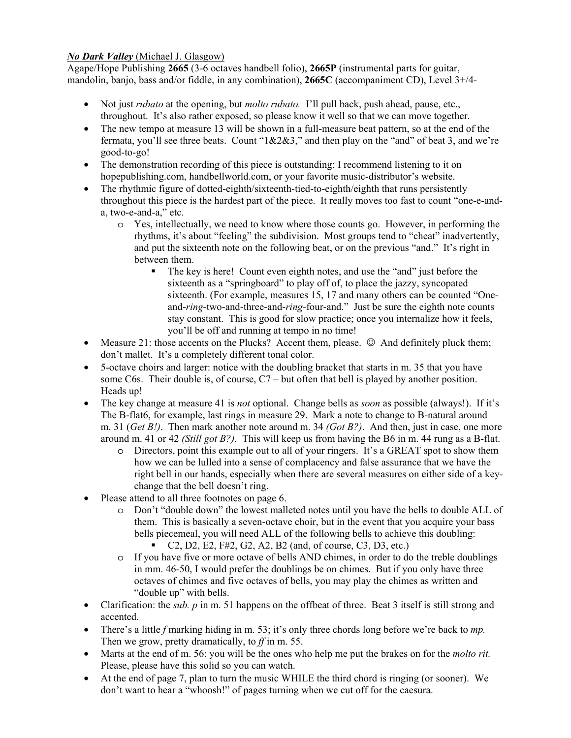## *No Dark Valley* (Michael J. Glasgow)

Agape/Hope Publishing **2665** (3-6 octaves handbell folio), **2665P** (instrumental parts for guitar, mandolin, banjo, bass and/or fiddle, in any combination), **2665C** (accompaniment CD), Level 3+/4-

- Not just *rubato* at the opening, but *molto rubato.* I'll pull back, push ahead, pause, etc., throughout. It's also rather exposed, so please know it well so that we can move together.
- The new tempo at measure 13 will be shown in a full-measure beat pattern, so at the end of the fermata, you'll see three beats. Count "1&2&3," and then play on the "and" of beat 3, and we're good-to-go!
- The demonstration recording of this piece is outstanding; I recommend listening to it on hopepublishing.com, handbellworld.com, or your favorite music-distributor's website.
- The rhythmic figure of dotted-eighth/sixteenth-tied-to-eighth/eighth that runs persistently throughout this piece is the hardest part of the piece. It really moves too fast to count "one-e-anda, two-e-and-a," etc.
	- o Yes, intellectually, we need to know where those counts go. However, in performing the rhythms, it's about "feeling" the subdivision. Most groups tend to "cheat" inadvertently, and put the sixteenth note on the following beat, or on the previous "and." It's right in between them.
		- The key is here! Count even eighth notes, and use the "and" just before the sixteenth as a "springboard" to play off of, to place the jazzy, syncopated sixteenth. (For example, measures 15, 17 and many others can be counted "Oneand-*ring*-two-and-three-and-*ring-*four-and." Just be sure the eighth note counts stay constant. This is good for slow practice; once you internalize how it feels, you'll be off and running at tempo in no time!
- Measure 21: those accents on the Plucks? Accent them, please.  $\circledcirc$  And definitely pluck them; don't mallet. It's a completely different tonal color.
- 5-octave choirs and larger: notice with the doubling bracket that starts in m. 35 that you have some C6s. Their double is, of course, C7 – but often that bell is played by another position. Heads up!
- The key change at measure 41 is *not* optional. Change bells as *soon* as possible (always!). If it's The B-flat6, for example, last rings in measure 29. Mark a note to change to B-natural around m. 31 (*Get B!)*. Then mark another note around m. 34 *(Got B?)*. And then, just in case, one more around m. 41 or 42 *(Still got B?).* This will keep us from having the B6 in m. 44 rung as a B-flat.
	- o Directors, point this example out to all of your ringers. It's a GREAT spot to show them how we can be lulled into a sense of complacency and false assurance that we have the right bell in our hands, especially when there are several measures on either side of a keychange that the bell doesn't ring.
- Please attend to all three footnotes on page 6.
	- o Don't "double down" the lowest malleted notes until you have the bells to double ALL of them. This is basically a seven-octave choir, but in the event that you acquire your bass bells piecemeal, you will need ALL of the following bells to achieve this doubling:
		- C2, D2, E2, F#2, G2, A2, B2 (and, of course, C3, D3, etc.)
	- o If you have five or more octave of bells AND chimes, in order to do the treble doublings in mm. 46-50, I would prefer the doublings be on chimes. But if you only have three octaves of chimes and five octaves of bells, you may play the chimes as written and "double up" with bells.
- Clarification: the *sub. p* in m. 51 happens on the offbeat of three. Beat 3 itself is still strong and accented.
- There's a little *f* marking hiding in m. 53; it's only three chords long before we're back to *mp.*  Then we grow, pretty dramatically, to *ff* in m. 55.
- Marts at the end of m. 56: you will be the ones who help me put the brakes on for the *molto rit.*  Please, please have this solid so you can watch.
- At the end of page 7, plan to turn the music WHILE the third chord is ringing (or sooner). We don't want to hear a "whoosh!" of pages turning when we cut off for the caesura.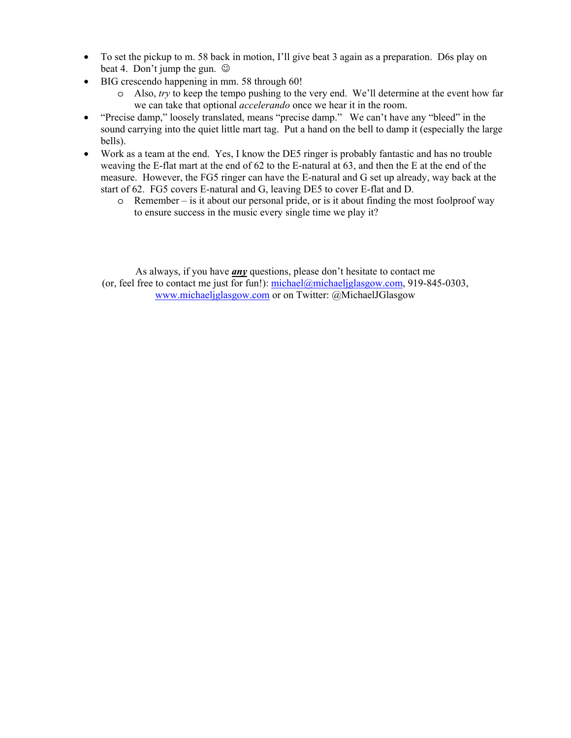- To set the pickup to m. 58 back in motion, I'll give beat 3 again as a preparation. D6s play on beat 4. Don't jump the gun.  $\odot$
- BIG crescendo happening in mm. 58 through 60!
	- o Also, *try* to keep the tempo pushing to the very end. We'll determine at the event how far we can take that optional *accelerando* once we hear it in the room.
- "Precise damp," loosely translated, means "precise damp." We can't have any "bleed" in the sound carrying into the quiet little mart tag. Put a hand on the bell to damp it (especially the large bells).
- Work as a team at the end. Yes, I know the DE5 ringer is probably fantastic and has no trouble weaving the E-flat mart at the end of 62 to the E-natural at 63, and then the E at the end of the measure. However, the FG5 ringer can have the E-natural and G set up already, way back at the start of 62. FG5 covers E-natural and G, leaving DE5 to cover E-flat and D.
	- $\circ$  Remember is it about our personal pride, or is it about finding the most foolproof way to ensure success in the music every single time we play it?

As always, if you have *any* questions, please don't hesitate to contact me (or, feel free to contact me just for fun!): michael@michaeljglasgow.com, 919-845-0303, www.michaeljglasgow.com or on Twitter: @MichaelJGlasgow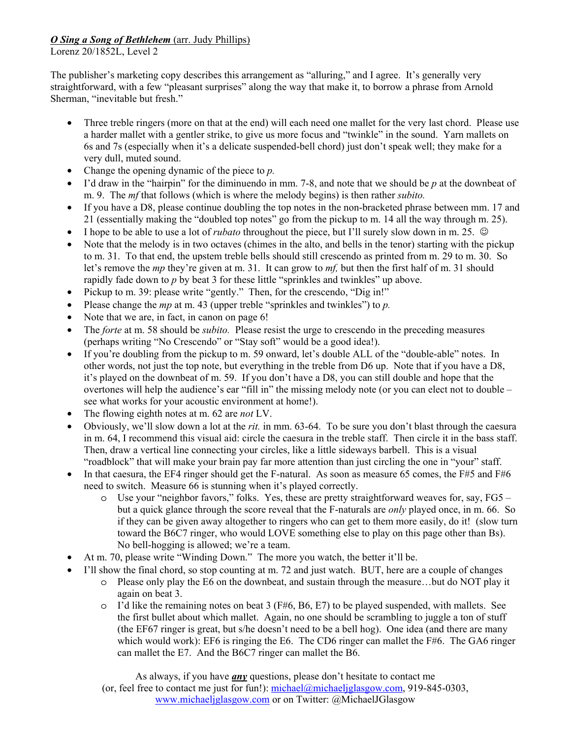# *O Sing a Song of Bethlehem* (arr. Judy Phillips)

Lorenz 20/1852L, Level 2

The publisher's marketing copy describes this arrangement as "alluring," and I agree. It's generally very straightforward, with a few "pleasant surprises" along the way that make it, to borrow a phrase from Arnold Sherman, "inevitable but fresh."

- Three treble ringers (more on that at the end) will each need one mallet for the very last chord. Please use a harder mallet with a gentler strike, to give us more focus and "twinkle" in the sound. Yarn mallets on 6s and 7s (especially when it's a delicate suspended-bell chord) just don't speak well; they make for a very dull, muted sound.
- Change the opening dynamic of the piece to *p.*
- I'd draw in the "hairpin" for the diminuendo in mm. 7-8, and note that we should be *p* at the downbeat of m. 9. The *mf* that follows (which is where the melody begins) is then rather *subito.*
- If you have a D8, please continue doubling the top notes in the non-bracketed phrase between mm. 17 and 21 (essentially making the "doubled top notes" go from the pickup to m. 14 all the way through m. 25).
- I hope to be able to use a lot of *rubato* throughout the piece, but I'll surely slow down in m. 25.  $\circledcirc$
- Note that the melody is in two octaves (chimes in the alto, and bells in the tenor) starting with the pickup to m. 31. To that end, the upstem treble bells should still crescendo as printed from m. 29 to m. 30. So let's remove the *mp* they're given at m. 31. It can grow to *mf,* but then the first half of m. 31 should rapidly fade down to *p* by beat 3 for these little "sprinkles and twinkles" up above.
- Pickup to m. 39: please write "gently." Then, for the crescendo, "Dig in!"
- Please change the *mp* at m. 43 (upper treble "sprinkles and twinkles") to *p.*
- Note that we are, in fact, in canon on page 6!
- The *forte* at m. 58 should be *subito*. Please resist the urge to crescendo in the preceding measures (perhaps writing "No Crescendo" or "Stay soft" would be a good idea!).
- If you're doubling from the pickup to m. 59 onward, let's double ALL of the "double-able" notes. In other words, not just the top note, but everything in the treble from D6 up. Note that if you have a D8, it's played on the downbeat of m. 59. If you don't have a D8, you can still double and hope that the overtones will help the audience's ear "fill in" the missing melody note (or you can elect not to double – see what works for your acoustic environment at home!).
- The flowing eighth notes at m. 62 are *not* LV.
- Obviously, we'll slow down a lot at the *rit.* in mm. 63-64. To be sure you don't blast through the caesura in m. 64, I recommend this visual aid: circle the caesura in the treble staff. Then circle it in the bass staff. Then, draw a vertical line connecting your circles, like a little sideways barbell. This is a visual "roadblock" that will make your brain pay far more attention than just circling the one in "your" staff.
- In that caesura, the EF4 ringer should get the F-natural. As soon as measure 65 comes, the F#5 and F#6 need to switch. Measure 66 is stunning when it's played correctly.
	- o Use your "neighbor favors," folks. Yes, these are pretty straightforward weaves for, say, FG5 but a quick glance through the score reveal that the F-naturals are *only* played once, in m. 66. So if they can be given away altogether to ringers who can get to them more easily, do it! (slow turn toward the B6C7 ringer, who would LOVE something else to play on this page other than Bs). No bell-hogging is allowed; we're a team.
- At m. 70, please write "Winding Down." The more you watch, the better it'll be.
- I'll show the final chord, so stop counting at m. 72 and just watch. BUT, here are a couple of changes
	- o Please only play the E6 on the downbeat, and sustain through the measure…but do NOT play it again on beat 3.
	- $\circ$  I'd like the remaining notes on beat 3 (F#6, B6, E7) to be played suspended, with mallets. See the first bullet about which mallet. Again, no one should be scrambling to juggle a ton of stuff (the EF67 ringer is great, but s/he doesn't need to be a bell hog). One idea (and there are many which would work): EF6 is ringing the E6. The CD6 ringer can mallet the F#6. The GA6 ringer can mallet the E7. And the B6C7 ringer can mallet the B6.

As always, if you have *any* questions, please don't hesitate to contact me (or, feel free to contact me just for fun!): michael@michaeljglasgow.com, 919-845-0303, www.michaeljglasgow.com or on Twitter: @MichaelJGlasgow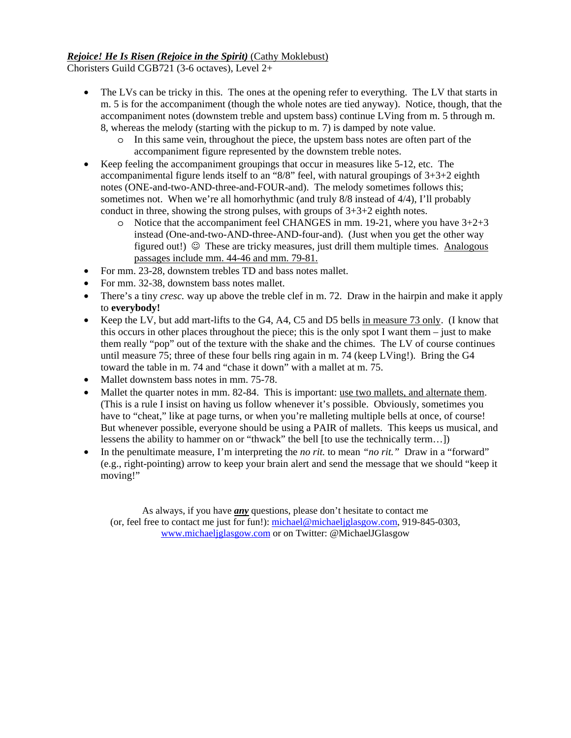## *Rejoice! He Is Risen (Rejoice in the Spirit)* (Cathy Moklebust)

Choristers Guild CGB721 (3-6 octaves), Level 2+

- The LVs can be tricky in this. The ones at the opening refer to everything. The LV that starts in m. 5 is for the accompaniment (though the whole notes are tied anyway). Notice, though, that the accompaniment notes (downstem treble and upstem bass) continue LVing from m. 5 through m. 8, whereas the melody (starting with the pickup to m. 7) is damped by note value.
	- o In this same vein, throughout the piece, the upstem bass notes are often part of the accompaniment figure represented by the downstem treble notes.
- Keep feeling the accompaniment groupings that occur in measures like 5-12, etc. The accompanimental figure lends itself to an " $8/8$ " feel, with natural groupings of  $3+3+2$  eighth notes (ONE-and-two-AND-three-and-FOUR-and). The melody sometimes follows this; sometimes not. When we're all homorhythmic (and truly 8/8 instead of 4/4), I'll probably conduct in three, showing the strong pulses, with groups of  $3+3+2$  eighth notes.
	- $\circ$  Notice that the accompaniment feel CHANGES in mm. 19-21, where you have  $3+2+3$ instead (One-and-two-AND-three-AND-four-and). (Just when you get the other way figured out!)  $\odot$  These are tricky measures, just drill them multiple times. Analogous passages include mm. 44-46 and mm. 79-81.
- For mm. 23-28, downstem trebles TD and bass notes mallet.
- For mm. 32-38, downstem bass notes mallet.
- There's a tiny *cresc*, way up above the treble clef in m. 72. Draw in the hairpin and make it apply to **everybody!**
- Keep the LV, but add mart-lifts to the G4, A4, C5 and D5 bells in measure 73 only. (I know that this occurs in other places throughout the piece; this is the only spot I want them – just to make them really "pop" out of the texture with the shake and the chimes. The LV of course continues until measure 75; three of these four bells ring again in m. 74 (keep LVing!). Bring the G4 toward the table in m. 74 and "chase it down" with a mallet at m. 75.
- Mallet downstem bass notes in mm. 75-78.
- Mallet the quarter notes in mm. 82-84. This is important: use two mallets, and alternate them. (This is a rule I insist on having us follow whenever it's possible. Obviously, sometimes you have to "cheat," like at page turns, or when you're malleting multiple bells at once, of course! But whenever possible, everyone should be using a PAIR of mallets. This keeps us musical, and lessens the ability to hammer on or "thwack" the bell [to use the technically term…])
- In the penultimate measure, I'm interpreting the *no rit.* to mean *"no rit."* Draw in a "forward" (e.g., right-pointing) arrow to keep your brain alert and send the message that we should "keep it moving!"

As always, if you have *any* questions, please don't hesitate to contact me (or, feel free to contact me just for fun!): michael@michaeljglasgow.com, 919-845-0303, www.michaeljglasgow.com or on Twitter: @MichaelJGlasgow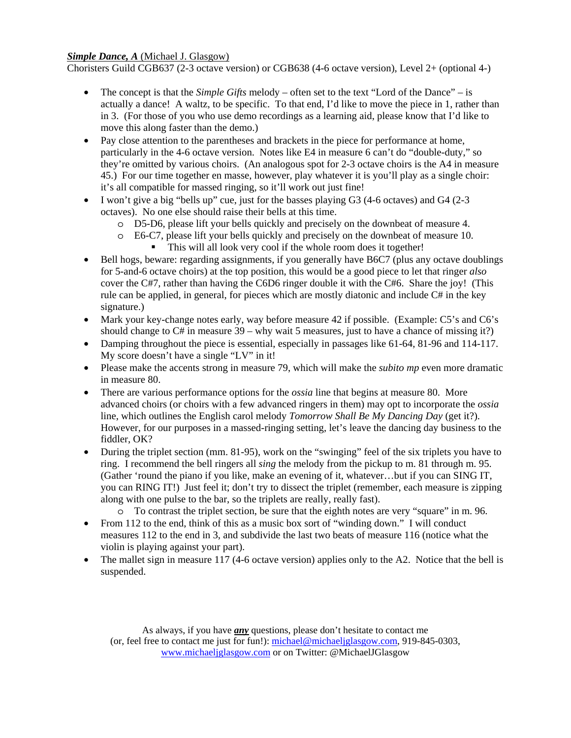# *Simple Dance, A (Michael J. Glasgow)*

Choristers Guild CGB637 (2-3 octave version) or CGB638 (4-6 octave version), Level 2+ (optional 4-)

- The concept is that the *Simple Gifts* melody often set to the text "Lord of the Dance" is actually a dance! A waltz, to be specific. To that end, I'd like to move the piece in 1, rather than in 3. (For those of you who use demo recordings as a learning aid, please know that I'd like to move this along faster than the demo.)
- Pay close attention to the parentheses and brackets in the piece for performance at home, particularly in the 4-6 octave version. Notes like E4 in measure 6 can't do "double-duty," so they're omitted by various choirs. (An analogous spot for 2-3 octave choirs is the A4 in measure 45.) For our time together en masse, however, play whatever it is you'll play as a single choir: it's all compatible for massed ringing, so it'll work out just fine!
- I won't give a big "bells up" cue, just for the basses playing G3 (4-6 octaves) and G4 (2-3 octaves). No one else should raise their bells at this time.
	- o D5-D6, please lift your bells quickly and precisely on the downbeat of measure 4.
	- o E6-C7, please lift your bells quickly and precisely on the downbeat of measure 10. This will all look very cool if the whole room does it together!
- Bell hogs, beware: regarding assignments, if you generally have B6C7 (plus any octave doublings for 5-and-6 octave choirs) at the top position, this would be a good piece to let that ringer *also*  cover the C#7, rather than having the C6D6 ringer double it with the C#6. Share the joy! (This rule can be applied, in general, for pieces which are mostly diatonic and include C# in the key signature.)
- Mark your key-change notes early, way before measure 42 if possible. (Example: C5's and C6's should change to  $C#$  in measure  $39 -$  why wait 5 measures, just to have a chance of missing it?)
- Damping throughout the piece is essential, especially in passages like 61-64, 81-96 and 114-117. My score doesn't have a single "LV" in it!
- Please make the accents strong in measure 79, which will make the *subito mp* even more dramatic in measure 80.
- There are various performance options for the *ossia* line that begins at measure 80. More advanced choirs (or choirs with a few advanced ringers in them) may opt to incorporate the *ossia*  line, which outlines the English carol melody *Tomorrow Shall Be My Dancing Day* (get it?). However, for our purposes in a massed-ringing setting, let's leave the dancing day business to the fiddler, OK?
- During the triplet section (mm. 81-95), work on the "swinging" feel of the six triplets you have to ring. I recommend the bell ringers all *sing* the melody from the pickup to m. 81 through m. 95. (Gather 'round the piano if you like, make an evening of it, whatever…but if you can SING IT, you can RING IT!) Just feel it; don't try to dissect the triplet (remember, each measure is zipping along with one pulse to the bar, so the triplets are really, really fast).
	- o To contrast the triplet section, be sure that the eighth notes are very "square" in m. 96.
- From 112 to the end, think of this as a music box sort of "winding down." I will conduct measures 112 to the end in 3, and subdivide the last two beats of measure 116 (notice what the violin is playing against your part).
- The mallet sign in measure 117 (4-6 octave version) applies only to the A2. Notice that the bell is suspended.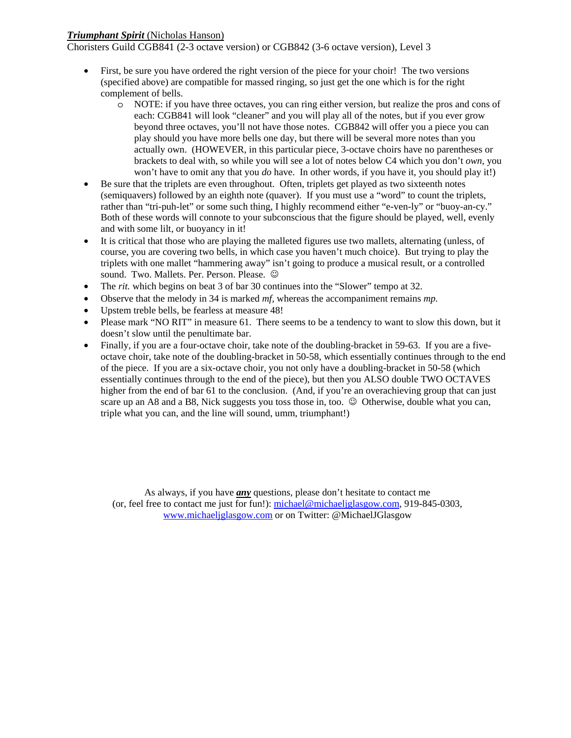#### *Triumphant Spirit* (Nicholas Hanson)

Choristers Guild CGB841 (2-3 octave version) or CGB842 (3-6 octave version), Level 3

- First, be sure you have ordered the right version of the piece for your choir! The two versions (specified above) are compatible for massed ringing, so just get the one which is for the right complement of bells.
	- o NOTE: if you have three octaves, you can ring either version, but realize the pros and cons of each: CGB841 will look "cleaner" and you will play all of the notes, but if you ever grow beyond three octaves, you'll not have those notes. CGB842 will offer you a piece you can play should you have more bells one day, but there will be several more notes than you actually own. (HOWEVER, in this particular piece, 3-octave choirs have no parentheses or brackets to deal with, so while you will see a lot of notes below C4 which you don't *own,* you won't have to omit any that you *do* have. In other words, if you have it, you should play it!)
- Be sure that the triplets are even throughout. Often, triplets get played as two sixteenth notes (semiquavers) followed by an eighth note (quaver). If you must use a "word" to count the triplets, rather than "tri-puh-let" or some such thing, I highly recommend either "e-ven-ly" or "buoy-an-cy." Both of these words will connote to your subconscious that the figure should be played, well, evenly and with some lilt, or buoyancy in it!
- It is critical that those who are playing the malleted figures use two mallets, alternating (unless, of course, you are covering two bells, in which case you haven't much choice). But trying to play the triplets with one mallet "hammering away" isn't going to produce a musical result, or a controlled sound. Two. Mallets. Per. Person. Please.  $\odot$
- The *rit*. which begins on beat 3 of bar 30 continues into the "Slower" tempo at 32.
- Observe that the melody in 34 is marked *mf,* whereas the accompaniment remains *mp.*
- Upstem treble bells, be fearless at measure 48!
- Please mark "NO RIT" in measure 61. There seems to be a tendency to want to slow this down, but it doesn't slow until the penultimate bar.
- Finally, if you are a four-octave choir, take note of the doubling-bracket in 59-63. If you are a fiveoctave choir, take note of the doubling-bracket in 50-58, which essentially continues through to the end of the piece. If you are a six-octave choir, you not only have a doubling-bracket in 50-58 (which essentially continues through to the end of the piece), but then you ALSO double TWO OCTAVES higher from the end of bar 61 to the conclusion. (And, if you're an overachieving group that can just scare up an A8 and a B8, Nick suggests you toss those in, too.  $\odot$  Otherwise, double what you can, triple what you can, and the line will sound, umm, triumphant!)

As always, if you have *any* questions, please don't hesitate to contact me (or, feel free to contact me just for fun!): michael@michaeljglasgow.com, 919-845-0303, www.michaeljglasgow.com or on Twitter: @MichaelJGlasgow